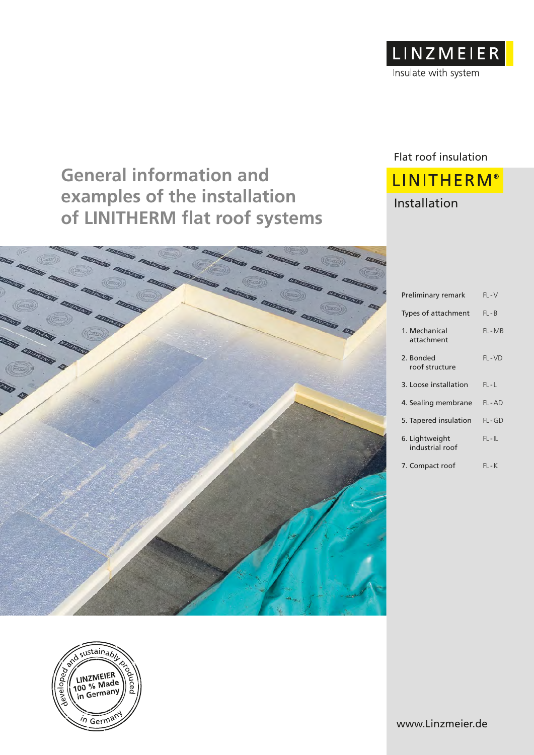

# **General information and examples of the installation of LINITHERM flat roof systems**

# Flat roof insulation **LINITHERM®**

## Installation

| <b>STATES STATES</b><br><b>ELECTRONIC</b>                                                                                                                                                                   |                                   |           |
|-------------------------------------------------------------------------------------------------------------------------------------------------------------------------------------------------------------|-----------------------------------|-----------|
| MARINA MARINA MARINA MARINA<br><b>SAN DE LE CONSTANT DE LA CONSTANTINA DE LA CONSTANTINA DE LA CONSTANTINA DE LA CONSTANTINA DE LA CONSTANTINA DE</b><br>MARKET CONSTRUCT CONSTRUCTION<br>an aman aman aman | Preliminary remark                | $FL-V$    |
| <b>DESCRIPTION</b>                                                                                                                                                                                          | Types of attachment               | $FL - B$  |
| a taman taman                                                                                                                                                                                               | 1. Mechanical<br>attachment       | FL-MB     |
| y environ &                                                                                                                                                                                                 | 2. Bonded<br>roof structure       | $FL-VD$   |
|                                                                                                                                                                                                             | 3. Loose installation             | $FL-L$    |
|                                                                                                                                                                                                             | 4. Sealing membrane               | FL-AD     |
|                                                                                                                                                                                                             | 5. Tapered insulation             | $FL-GD$   |
|                                                                                                                                                                                                             | 6. Lightweight<br>industrial roof | $FL - IL$ |
|                                                                                                                                                                                                             | 7. Compact roof                   | $FL-K$    |

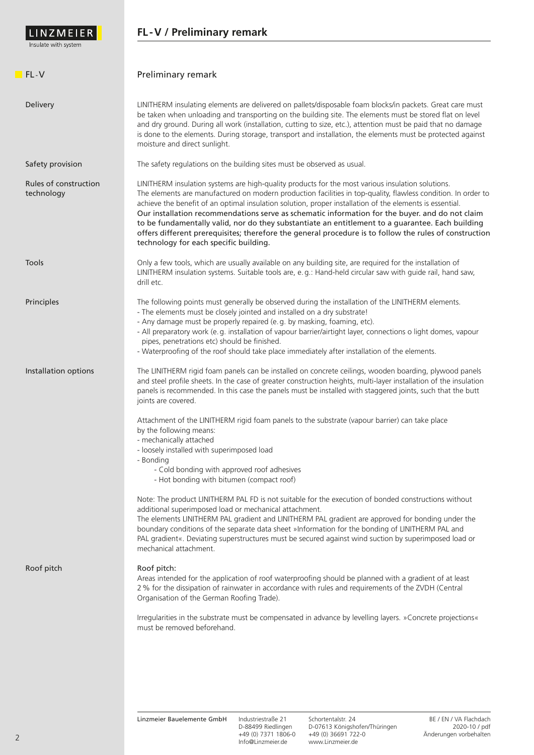

## **FL-V / Preliminary remark**

| FL-V                                | Preliminary remark                                                                                                                                                                                                                                                                                                                                                                                                                                                                                                                                                                                                                                                                        |
|-------------------------------------|-------------------------------------------------------------------------------------------------------------------------------------------------------------------------------------------------------------------------------------------------------------------------------------------------------------------------------------------------------------------------------------------------------------------------------------------------------------------------------------------------------------------------------------------------------------------------------------------------------------------------------------------------------------------------------------------|
| Delivery                            | LINITHERM insulating elements are delivered on pallets/disposable foam blocks/in packets. Great care must<br>be taken when unloading and transporting on the building site. The elements must be stored flat on level<br>and dry ground. During all work (installation, cutting to size, etc.), attention must be paid that no damage<br>is done to the elements. During storage, transport and installation, the elements must be protected against<br>moisture and direct sunlight.                                                                                                                                                                                                     |
| Safety provision                    | The safety regulations on the building sites must be observed as usual.                                                                                                                                                                                                                                                                                                                                                                                                                                                                                                                                                                                                                   |
| Rules of construction<br>technology | LINITHERM insulation systems are high-quality products for the most various insulation solutions.<br>The elements are manufactured on modern production facilities in top-quality, flawless condition. In order to<br>achieve the benefit of an optimal insulation solution, proper installation of the elements is essential.<br>Our installation recommendations serve as schematic information for the buyer. and do not claim<br>to be fundamentally valid, nor do they substantiate an entitlement to a guarantee. Each building<br>offers different prerequisites; therefore the general procedure is to follow the rules of construction<br>technology for each specific building. |
| Tools                               | Only a few tools, which are usually available on any building site, are required for the installation of<br>LINITHERM insulation systems. Suitable tools are, e.g.: Hand-held circular saw with guide rail, hand saw,<br>drill etc.                                                                                                                                                                                                                                                                                                                                                                                                                                                       |
| Principles                          | The following points must generally be observed during the installation of the LINITHERM elements.<br>- The elements must be closely jointed and installed on a dry substrate!<br>- Any damage must be properly repaired (e.g. by masking, foaming, etc).<br>- All preparatory work (e.g. installation of vapour barrier/airtight layer, connections o light domes, vapour<br>pipes, penetrations etc) should be finished.<br>- Waterproofing of the roof should take place immediately after installation of the elements.                                                                                                                                                               |
| Installation options                | The LINITHERM rigid foam panels can be installed on concrete ceilings, wooden boarding, plywood panels<br>and steel profile sheets. In the case of greater construction heights, multi-layer installation of the insulation<br>panels is recommended. In this case the panels must be installed with staggered joints, such that the butt<br>joints are covered.                                                                                                                                                                                                                                                                                                                          |
|                                     | Attachment of the LINITHERM rigid foam panels to the substrate (vapour barrier) can take place<br>by the following means:<br>- mechanically attached<br>- loosely installed with superimposed load<br>- Bonding<br>- Cold bonding with approved roof adhesives<br>- Hot bonding with bitumen (compact roof)                                                                                                                                                                                                                                                                                                                                                                               |
|                                     | Note: The product LINITHERM PAL FD is not suitable for the execution of bonded constructions without<br>additional superimposed load or mechanical attachment.<br>The elements LINITHERM PAL gradient and LINITHERM PAL gradient are approved for bonding under the<br>boundary conditions of the separate data sheet »Information for the bonding of LINITHERM PAL and<br>PAL gradient«. Deviating superstructures must be secured against wind suction by superimposed load or<br>mechanical attachment.                                                                                                                                                                                |
| Roof pitch                          | Roof pitch:<br>Areas intended for the application of roof waterproofing should be planned with a gradient of at least<br>2 % for the dissipation of rainwater in accordance with rules and requirements of the ZVDH (Central<br>Organisation of the German Roofing Trade).                                                                                                                                                                                                                                                                                                                                                                                                                |
|                                     | Irregularities in the substrate must be compensated in advance by levelling layers. »Concrete projections«<br>must be removed beforehand.                                                                                                                                                                                                                                                                                                                                                                                                                                                                                                                                                 |
|                                     |                                                                                                                                                                                                                                                                                                                                                                                                                                                                                                                                                                                                                                                                                           |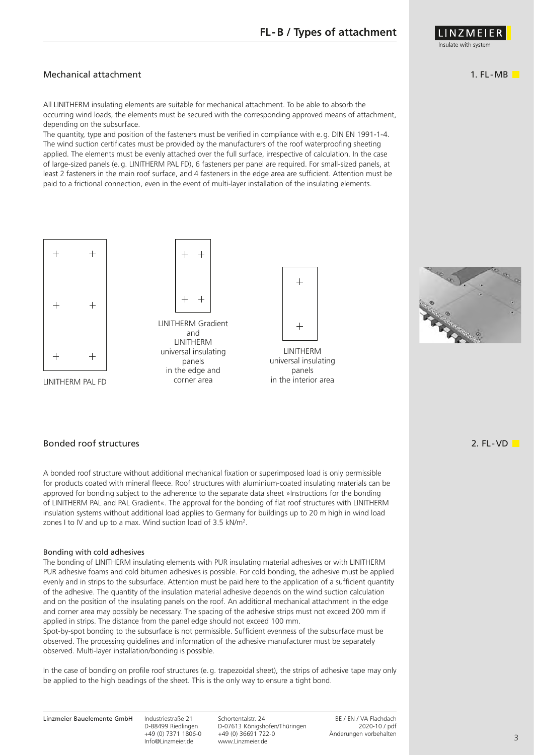#### Mechanical attachment

All LINITHERM insulating elements are suitable for mechanical attachment. To be able to absorb the occurring wind loads, the elements must be secured with the corresponding approved means of attachment, depending on the subsurface.

The quantity, type and position of the fasteners must be verified in compliance with e.g. DIN EN 1991-1-4. The wind suction certificates must be provided by the manufacturers of the roof waterproofing sheeting applied. The elements must be evenly attached over the full surface, irrespective of calculation. In the case of large-sized panels (e.g. LINITHERM PAL FD), 6 fasteners per panel are required. For small-sized panels, at least 2 fasteners in the main roof surface, and 4 fasteners in the edge area are sufficient. Attention must be paid to a frictional connection, even in the event of multi-layer installation of the insulating elements.



LINITHERM PAL FD



LINITHERM Gradient and **LINITHERM** universal insulating panels in the edge and corner area



LINITHERM universal insulating panels in the interior area



Bonded roof structures

A bonded roof structure without additional mechanical fixation or superimposed load is only permissible for products coated with mineral fleece. Roof structures with aluminium-coated insulating materials can be approved for bonding subject to the adherence to the separate data sheet »Instructions for the bonding of LINITHERM PAL and PAL Gradient«. The approval for the bonding of flat roof structures with LINITHERM insulation systems without additional load applies to Germany for buildings up to 20 m high in wind load zones I to IV and up to a max. Wind suction load of 3.5 kN/m<sup>2</sup>.

#### Bonding with cold adhesives

The bonding of LINITHERM insulating elements with PUR insulating material adhesives or with LINITHERM PUR adhesive foams and cold bitumen adhesives is possible. For cold bonding, the adhesive must be applied evenly and in strips to the subsurface. Attention must be paid here to the application of a sufficient quantity of the adhesive. The quantity of the insulation material adhesive depends on the wind suction calculation and on the position of the insulating panels on the roof. An additional mechanical attachment in the edge and corner area may possibly be necessary. The spacing of the adhesive strips must not exceed 200 mm if applied in strips. The distance from the panel edge should not exceed 100 mm.

Spot-by-spot bonding to the subsurface is not permissible. Sufficient evenness of the subsurface must be observed. The processing guidelines and information of the adhesive manufacturer must be separately observed. Multi-layer installation/bonding is possible.

In the case of bonding on profile roof structures (e.g. trapezoidal sheet), the strips of adhesive tape may only be applied to the high beadings of the sheet. This is the only way to ensure a tight bond.

Info@Linzmeier.de www.Linzmeier.de

Linzmeier Bauelemente GmbH Industriestraße 21 Schortentalstr. 24 BE / EN / VA Flachdach<br>D-07613 Königshofen/Thüringen 2020-10 / pdf +49 (0) 7371 1806-0 +49 (0) 36691 722-0 Änderungen vorbehalten 2. FL -VD

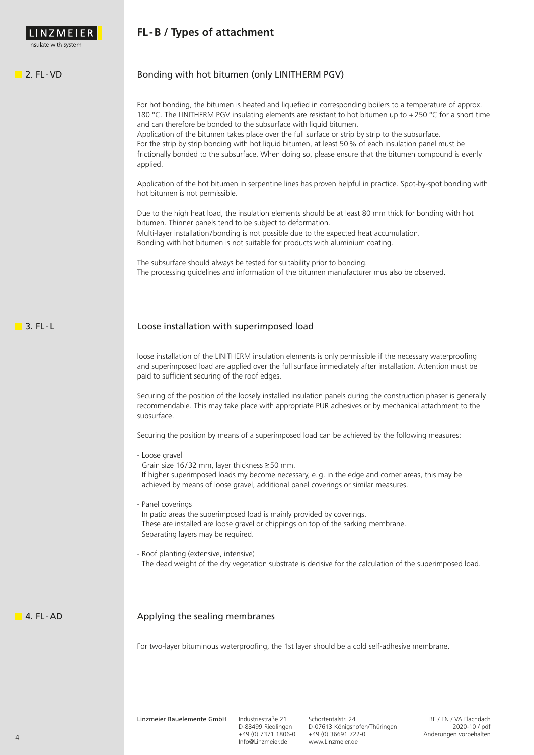## **FL-B / Types of attachment**IN 7 M F I F nsulate with syster  $2.$  FL-VD Bonding with hot bitumen (only LINITHERM PGV) For hot bonding, the bitumen is heated and liquefied in corresponding boilers to a temperature of approx. 180 °C. The LINITHERM PGV insulating elements are resistant to hot bitumen up to +250 °C for a short time and can therefore be bonded to the subsurface with liquid bitumen. Application of the bitumen takes place over the full surface or strip by strip to the subsurface. For the strip by strip bonding with hot liquid bitumen, at least 50% of each insulation panel must be frictionally bonded to the subsurface. When doing so, please ensure that the bitumen compound is evenly applied. Application of the hot bitumen in serpentine lines has proven helpful in practice. Spot-by-spot bonding with hot bitumen is not permissible. Due to the high heat load, the insulation elements should be at least 80 mm thick for bonding with hot bitumen. Thinner panels tend to be subject to deformation. Multi-layer installation/bonding is not possible due to the expected heat accumulation. Bonding with hot bitumen is not suitable for products with aluminium coating. The subsurface should always be tested for suitability prior to bonding. The processing guidelines and information of the bitumen manufacturer mus also be observed.  $\blacksquare$  3. FL-L Loose installation with superimposed load loose installation of the LINITHERM insulation elements is only permissible if the necessary waterproofing and superimposed load are applied over the full surface immediately after installation. Attention must be paid to sufficient securing of the roof edges. Securing of the position of the loosely installed insulation panels during the construction phaser is generally recommendable. This may take place with appropriate PUR adhesives or by mechanical attachment to the subsurface. Securing the position by means of a superimposed load can be achieved by the following measures: - Loose gravel Grain size 16/32 mm, layer thickness ≥50 mm. If higher superimposed loads my become necessary, e.g. in the edge and corner areas, this may be achieved by means of loose gravel, additional panel coverings or similar measures. - Panel coverings In patio areas the superimposed load is mainly provided by coverings. These are installed are loose gravel or chippings on top of the sarking membrane. Separating layers may be required. - Roof planting (extensive, intensive) The dead weight of the dry vegetation substrate is decisive for the calculation of the superimposed load. 4. FL-AD Applying the sealing membranes For two-layer bituminous waterproofing, the 1st layer should be a cold self-adhesive membrane.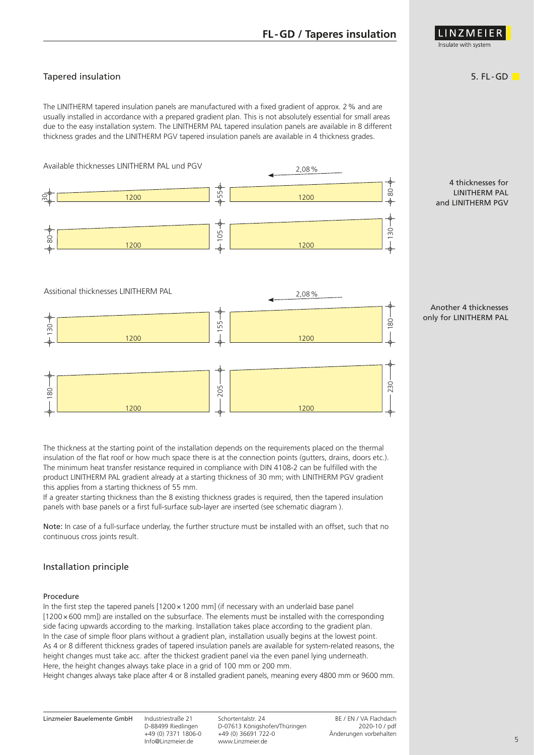## **FL-GD / Taperes insulation**

## Tapered insulation

The LINITHERM tapered insulation panels are manufactured with a fixed gradient of approx. 2% and are usually installed in accordance with a prepared gradient plan. This is not absolutely essential for small areas due to the easy installation system. The LINITHERM PAL tapered insulation panels are available in 8 different thickness grades and the LINITHERM PGV tapered insulation panels are available in 4 thickness grades.



The thickness at the starting point of the installation depends on the requirements placed on the thermal insulation of the flat roof or how much space there is at the connection points (gutters, drains, doors etc.). The minimum heat transfer resistance required in compliance with DIN 4108-2 can be fulfilled with the product LINITHERM PAL gradient already at a starting thickness of 30 mm; with LINITHERM PGV gradient this applies from a starting thickness of 55 mm.

If a greater starting thickness than the 8 existing thickness grades is required, then the tapered insulation panels with base panels or a first full-surface sub-layer are inserted (see schematic diagram ).

Note: In case of a full-surface underlay, the further structure must be installed with an offset, such that no continuous cross joints result.

#### Installation principle

#### Procedure

In the first step the tapered panels  $[1200 \times 1200$  mml (if necessary with an underlaid base panel [1200×600 mm]) are installed on the subsurface. The elements must be installed with the corresponding side facing upwards according to the marking. Installation takes place according to the gradient plan. In the case of simple floor plans without a gradient plan, installation usually begins at the lowest point. As 4 or 8 different thickness grades of tapered insulation panels are available for system-related reasons, the height changes must take acc. after the thickest gradient panel via the even panel lying underneath. Here, the height changes always take place in a grid of 100 mm or 200 mm.

Height changes always take place after 4 or 8 installed gradient panels, meaning every 4800 mm or 9600 mm.

#### Another 4 thicknesses only for LINITHERM PAL



### 5. FL -GD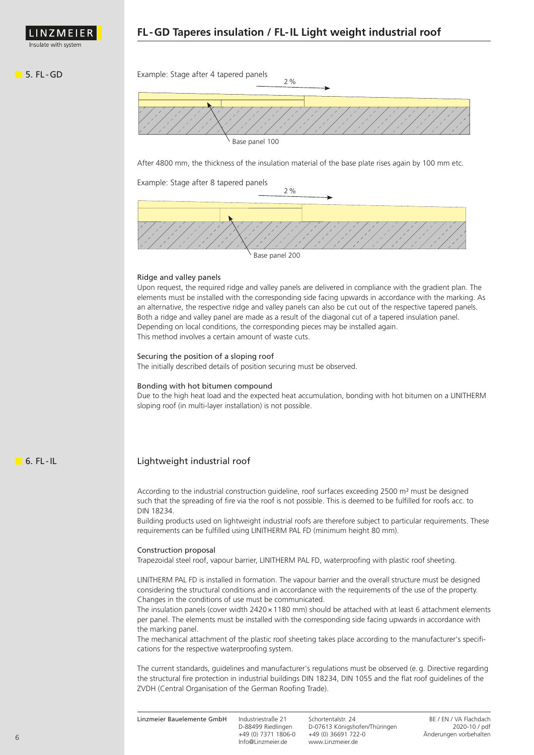

INZMEI sulate with syster

#### **5. FL-GD** Example: Stage after 4 tapered panels



After 4800 mm, the thickness of the insulation material of the base plate rises again by 100 mm etc.

Example: Stage after 8 tapered panels



#### Ridge and valley panels

Upon request, the required ridge and valley panels are delivered in compliance with the gradient plan. The elements must be installed with the corresponding side facing upwards in accordance with the marking. As an alternative, the respective ridge and valley panels can also be cut out of the respective tapered panels. Both a ridge and valley panel are made as a result of the diagonal cut of a tapered insulation panel. Depending on local conditions, the corresponding pieces may be installed again. This method involves a certain amount of waste cuts.

#### Securing the position of a sloping roof

The initially described details of position securing must be observed.

#### Bonding with hot bitumen compound

Due to the high heat load and the expected heat accumulation, bonding with hot bitumen on a LINITHERM sloping roof (in multi-layer installation) is not possible.

**6. FL-IL** 

#### Lightweight industrial roof

According to the industrial construction guideline, roof surfaces exceeding 2500 m² must be designed such that the spreading of fire via the roof is not possible. This is deemed to be fulfilled for roofs acc. to DIN 18234.

Building products used on lightweight industrial roofs are therefore subject to particular requirements. These requirements can be fulfilled using LINITHERM PAL FD (minimum height 80 mm).

#### Construction proposal

Trapezoidal steel roof, vapour barrier, LINITHERM PAL FD, waterproofing with plastic roof sheeting.

LINITHERM PAL FD is installed in formation. The vapour barrier and the overall structure must be designed considering the structural conditions and in accordance with the requirements of the use of the property. Changes in the conditions of use must be communicated.

The insulation panels (cover width 2420 x 1180 mm) should be attached with at least 6 attachment elements per panel. The elements must be installed with the corresponding side facing upwards in accordance with the marking panel.

The mechanical attachment of the plastic roof sheeting takes place according to the manufacturer's specifications for the respective waterproofing system.

The current standards, guidelines and manufacturer's regulations must be observed (e.g. Directive regarding the structural fire protection in industrial buildings DIN 18234, DIN 1055 and the flat roof guidelines of the ZVDH (Central Organisation of the German Roofing Trade).

| D-07613 Königshofen/Thüringen<br>D-88499 Riedlingen<br>+49 (0) 36691 722-0<br>+49 (0) 7371 1806-0<br>www.Linzmeier.de<br>Info@Linzmeier.de |  |
|--------------------------------------------------------------------------------------------------------------------------------------------|--|
|--------------------------------------------------------------------------------------------------------------------------------------------|--|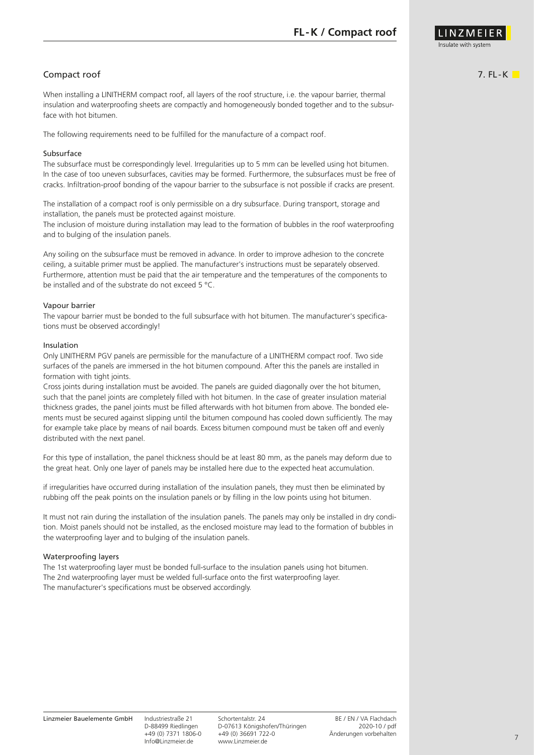

### Compact roof

When installing a LINITHERM compact roof, all layers of the roof structure, i.e. the vapour barrier, thermal insulation and waterproofing sheets are compactly and homogeneously bonded together and to the subsurface with hot bitumen.

The following requirements need to be fulfilled for the manufacture of a compact roof.

#### Subsurface

The subsurface must be correspondingly level. Irregularities up to 5 mm can be levelled using hot bitumen. In the case of too uneven subsurfaces, cavities may be formed. Furthermore, the subsurfaces must be free of cracks. Infiltration-proof bonding of the vapour barrier to the subsurface is not possible if cracks are present.

The installation of a compact roof is only permissible on a dry subsurface. During transport, storage and installation, the panels must be protected against moisture.

The inclusion of moisture during installation may lead to the formation of bubbles in the roof waterproofing and to bulging of the insulation panels.

Any soiling on the subsurface must be removed in advance. In order to improve adhesion to the concrete ceiling, a suitable primer must be applied. The manufacturer's instructions must be separately observed. Furthermore, attention must be paid that the air temperature and the temperatures of the components to be installed and of the substrate do not exceed 5 °C.

#### Vapour barrier

The vapour barrier must be bonded to the full subsurface with hot bitumen. The manufacturer's specifications must be observed accordingly!

#### Insulation

Only LINITHERM PGV panels are permissible for the manufacture of a LINITHERM compact roof. Two side surfaces of the panels are immersed in the hot bitumen compound. After this the panels are installed in formation with tight joints.

Cross joints during installation must be avoided. The panels are guided diagonally over the hot bitumen, such that the panel joints are completely filled with hot bitumen. In the case of greater insulation material thickness grades, the panel joints must be filled afterwards with hot bitumen from above. The bonded elements must be secured against slipping until the bitumen compound has cooled down sufficiently. The may for example take place by means of nail boards. Excess bitumen compound must be taken off and evenly distributed with the next panel.

For this type of installation, the panel thickness should be at least 80 mm, as the panels may deform due to the great heat. Only one layer of panels may be installed here due to the expected heat accumulation.

if irregularities have occurred during installation of the insulation panels, they must then be eliminated by rubbing off the peak points on the insulation panels or by filling in the low points using hot bitumen.

It must not rain during the installation of the insulation panels. The panels may only be installed in dry condition. Moist panels should not be installed, as the enclosed moisture may lead to the formation of bubbles in the waterproofing layer and to bulging of the insulation panels.

#### Waterproofing layers

The 1st waterproofing layer must be bonded full-surface to the insulation panels using hot bitumen. The 2nd waterproofing layer must be welded full-surface onto the first waterproofing layer. The manufacturer's specifications must be observed accordingly.

 $7.$  FL-K $\blacksquare$